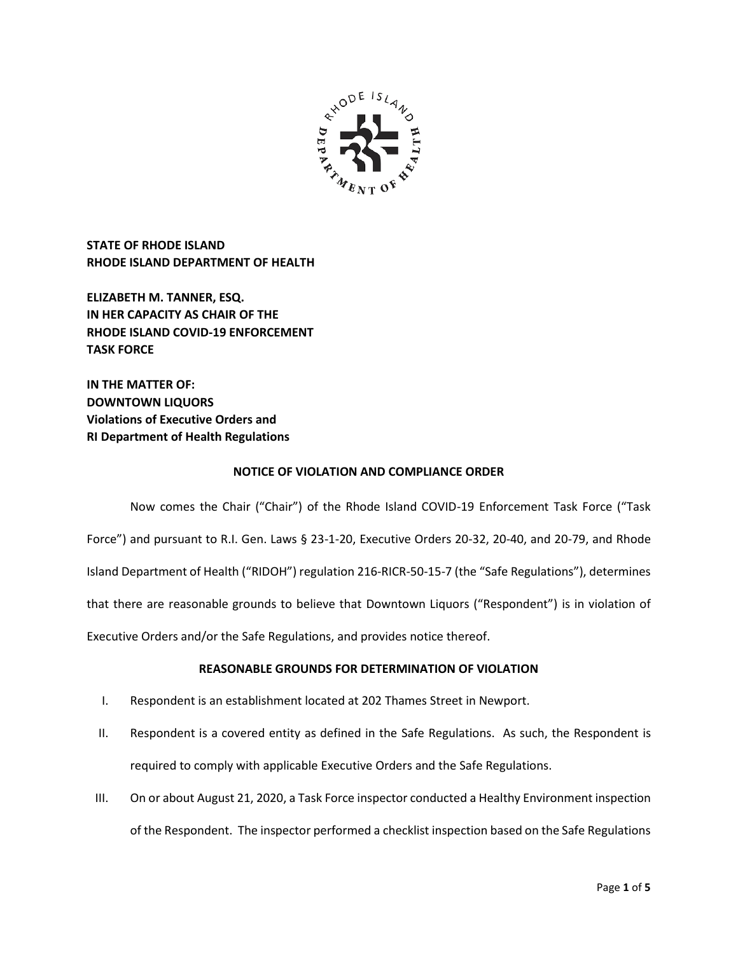

**STATE OF RHODE ISLAND RHODE ISLAND DEPARTMENT OF HEALTH**

**ELIZABETH M. TANNER, ESQ. IN HER CAPACITY AS CHAIR OF THE RHODE ISLAND COVID-19 ENFORCEMENT TASK FORCE** 

**IN THE MATTER OF: DOWNTOWN LIQUORS Violations of Executive Orders and RI Department of Health Regulations**

### **NOTICE OF VIOLATION AND COMPLIANCE ORDER**

Now comes the Chair ("Chair") of the Rhode Island COVID-19 Enforcement Task Force ("Task Force") and pursuant to R.I. Gen. Laws § 23-1-20, Executive Orders 20-32, 20-40, and 20-79, and Rhode Island Department of Health ("RIDOH") regulation 216-RICR-50-15-7 (the "Safe Regulations"), determines that there are reasonable grounds to believe that Downtown Liquors ("Respondent") is in violation of Executive Orders and/or the Safe Regulations, and provides notice thereof.

# **REASONABLE GROUNDS FOR DETERMINATION OF VIOLATION**

- I. Respondent is an establishment located at 202 Thames Street in Newport.
- II. Respondent is a covered entity as defined in the Safe Regulations. As such, the Respondent is required to comply with applicable Executive Orders and the Safe Regulations.
- III. On or about August 21, 2020, a Task Force inspector conducted a Healthy Environment inspection of the Respondent. The inspector performed a checklist inspection based on the Safe Regulations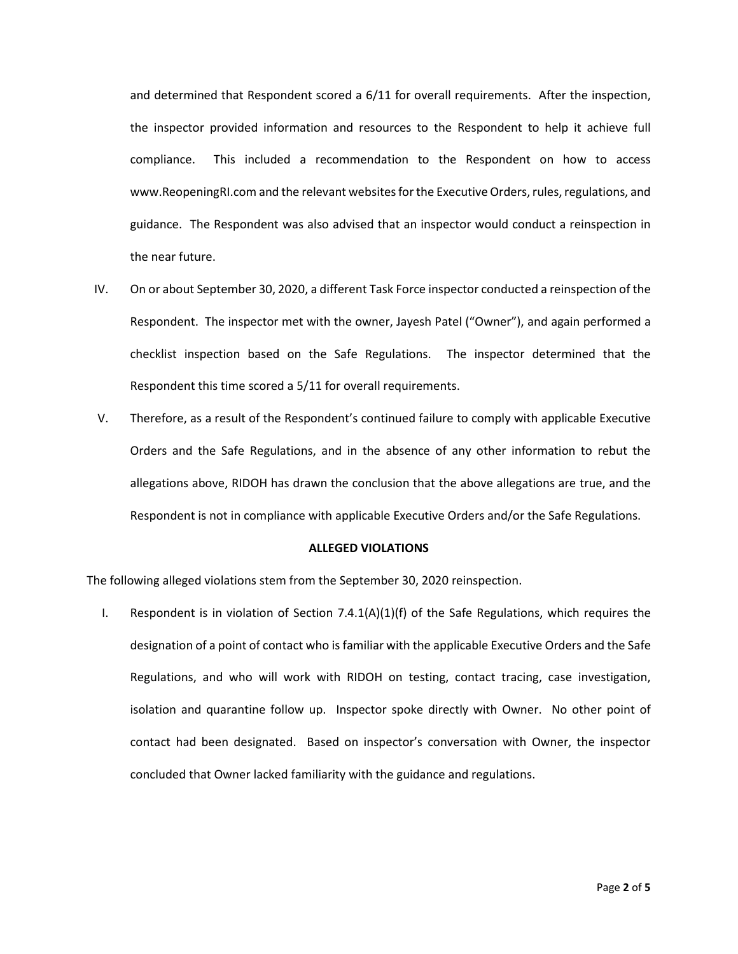and determined that Respondent scored a 6/11 for overall requirements. After the inspection, the inspector provided information and resources to the Respondent to help it achieve full compliance. This included a recommendation to the Respondent on how to access www.ReopeningRI.com and the relevant websites for the Executive Orders, rules, regulations, and guidance. The Respondent was also advised that an inspector would conduct a reinspection in the near future.

- IV. On or about September 30, 2020, a different Task Force inspector conducted a reinspection of the Respondent. The inspector met with the owner, Jayesh Patel ("Owner"), and again performed a checklist inspection based on the Safe Regulations. The inspector determined that the Respondent this time scored a 5/11 for overall requirements.
- V. Therefore, as a result of the Respondent's continued failure to comply with applicable Executive Orders and the Safe Regulations, and in the absence of any other information to rebut the allegations above, RIDOH has drawn the conclusion that the above allegations are true, and the Respondent is not in compliance with applicable Executive Orders and/or the Safe Regulations.

#### **ALLEGED VIOLATIONS**

The following alleged violations stem from the September 30, 2020 reinspection.

I. Respondent is in violation of Section  $7.4.1(A)(1)(f)$  of the Safe Regulations, which requires the designation of a point of contact who is familiar with the applicable Executive Orders and the Safe Regulations, and who will work with RIDOH on testing, contact tracing, case investigation, isolation and quarantine follow up. Inspector spoke directly with Owner. No other point of contact had been designated. Based on inspector's conversation with Owner, the inspector concluded that Owner lacked familiarity with the guidance and regulations.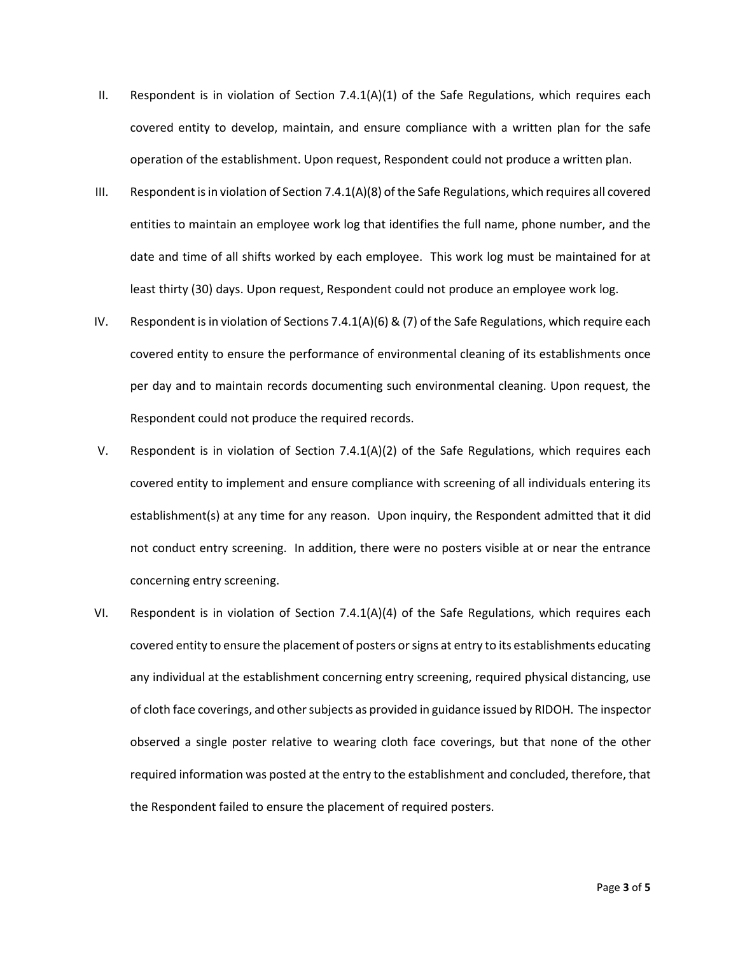- II. Respondent is in violation of Section  $7.4.1(A)(1)$  of the Safe Regulations, which requires each covered entity to develop, maintain, and ensure compliance with a written plan for the safe operation of the establishment. Upon request, Respondent could not produce a written plan.
- III. Respondent is in violation of Section 7.4.1(A)(8) of the Safe Regulations, which requires all covered entities to maintain an employee work log that identifies the full name, phone number, and the date and time of all shifts worked by each employee. This work log must be maintained for at least thirty (30) days. Upon request, Respondent could not produce an employee work log.
- IV. Respondent is in violation of Sections 7.4.1(A)(6) & (7) of the Safe Regulations, which require each covered entity to ensure the performance of environmental cleaning of its establishments once per day and to maintain records documenting such environmental cleaning. Upon request, the Respondent could not produce the required records.
- V. Respondent is in violation of Section 7.4.1(A)(2) of the Safe Regulations, which requires each covered entity to implement and ensure compliance with screening of all individuals entering its establishment(s) at any time for any reason. Upon inquiry, the Respondent admitted that it did not conduct entry screening. In addition, there were no posters visible at or near the entrance concerning entry screening.
- VI. Respondent is in violation of Section 7.4.1(A)(4) of the Safe Regulations, which requires each covered entity to ensure the placement of posters or signs at entry to its establishments educating any individual at the establishment concerning entry screening, required physical distancing, use of cloth face coverings, and other subjects as provided in guidance issued by RIDOH. The inspector observed a single poster relative to wearing cloth face coverings, but that none of the other required information was posted at the entry to the establishment and concluded, therefore, that the Respondent failed to ensure the placement of required posters.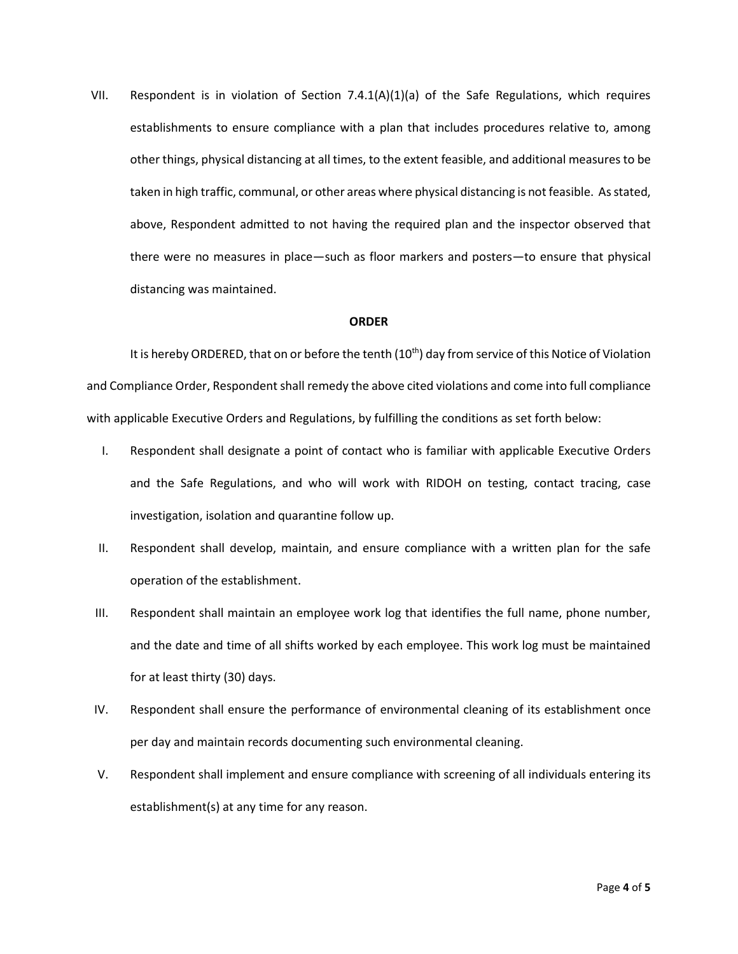VII. Respondent is in violation of Section 7.4.1(A)(1)(a) of the Safe Regulations, which requires establishments to ensure compliance with a plan that includes procedures relative to, among other things, physical distancing at all times, to the extent feasible, and additional measures to be taken in high traffic, communal, or other areas where physical distancing is not feasible. As stated, above, Respondent admitted to not having the required plan and the inspector observed that there were no measures in place—such as floor markers and posters—to ensure that physical distancing was maintained.

### **ORDER**

It is hereby ORDERED, that on or before the tenth  $(10<sup>th</sup>)$  day from service of this Notice of Violation and Compliance Order, Respondent shall remedy the above cited violations and come into full compliance with applicable Executive Orders and Regulations, by fulfilling the conditions as set forth below:

- I. Respondent shall designate a point of contact who is familiar with applicable Executive Orders and the Safe Regulations, and who will work with RIDOH on testing, contact tracing, case investigation, isolation and quarantine follow up.
- II. Respondent shall develop, maintain, and ensure compliance with a written plan for the safe operation of the establishment.
- III. Respondent shall maintain an employee work log that identifies the full name, phone number, and the date and time of all shifts worked by each employee. This work log must be maintained for at least thirty (30) days.
- IV. Respondent shall ensure the performance of environmental cleaning of its establishment once per day and maintain records documenting such environmental cleaning.
- V. Respondent shall implement and ensure compliance with screening of all individuals entering its establishment(s) at any time for any reason.